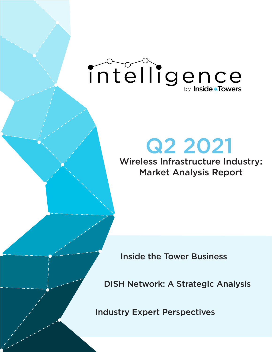# intelligence

## Q2 2021

Wireless Infrastructure Industry: Market Analysis Report

Inside the Tower Business

DISH Network: A Strategic Analysis

Industry Expert Perspectives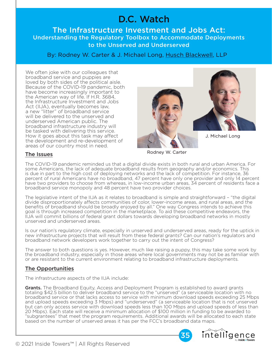### D.C. Watch

The Infrastructure Investment and Jobs Act: Understanding the Regulatory Toolbox to Accommodate Deployments to the Unserved and Underserved

By: Rodney W. Carter & J. Michael Long, [Husch Blackwell,](https://www.huschblackwell.com/) LLP

We often joke with our colleagues that broadband service and puppies are loved by both sides of the political aisle. Because of the COVID-19 pandemic, both have become increasingly important to the American way of life. If H.R. 3684, the Infrastructure Investment and Jobs Act (IIJA), eventually becomes law, a new "litter" of broadband service will be delivered to the unserved and underserved American public. The broadband infrastructure industry will be tasked with delivering this service. How it goes about this task may affect the development and re-development of areas of our country most in need.





J. Michael Long

Rodney W. Carter

#### The Issues

The COVID-19 pandemic reminded us that a digital divide exists in both rural and urban America. For some Americans, the lack of adequate broadband results from geography and/or economics. This is due in part to the high cost of deploying networks and the lack of competition. For instance, 36 percent of rural Americans have no broadband, 47 percent have only one provider and only 14 percent have two providers to choose from whereas, in low-income urban areas, 34 percent of residents face a broadband service monopoly and 48 percent have two provider choices.

The legislative intent of the IIJA as it relates to broadband is simple and straightforward – "the digital divide disproportionately affects communities of color, lower-income areas, and rural areas, and the benefits of broadband should be broadly enjoyed by all." One way Congress intends to achieve this goal is through increased competition in the marketplace. To aid these competitive endeavors, the IIJA will commit billions of federal grant dollars towards developing broadband networks in mostly unserved and underserved areas.

Is our nation's regulatory climate, especially in unserved and underserved areas, ready for the uptick in new infrastructure projects that will result from these federal grants? Can our nation's regulators and broadband network developers work together to carry out the intent of Congress?

The answer to both questions is yes. However, much like raising a puppy, this may take some work by the broadband industry, especially in those areas where local governments may not be as familiar with or are resistant to the current environment relating to broadband infrastructure deployments.

#### The Opportunities

The infrastructure aspects of the IIJA include:

Grants. The Broadband Equity, Access and Deployment Program is established to award grants totaling \$42.5 billion to deliver broadband service to the "unserved" (a serviceable location with no broadband service or that lacks access to service with minimum download speeds exceeding 25 Mbps and upload speeds exceeding 3 Mbps) and "underserved" (a serviceable location that is not unserved but can only access service with download speeds less than 100 Mbps and upload speeds of less than 20 Mbps). Each state will receive a minimum allocation of \$100 million in funding to be awarded to "subgrantees" that meet the program requirements. Additional awards will be allocated to each state based on the number of unserved areas it has per the FCC's broadband data maps.



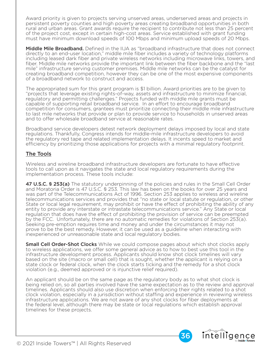Award priority is given to projects serving unserved areas, underserved areas and projects in persistent poverty counties and high poverty areas creating broadband opportunities in both rural and urban areas. Grant awards require the recipient to contribute not less than 25 percent of the project cost, except in certain high-cost areas. Service established with grant funding must have minimum download speeds of 100 Mbps and minimum upload speeds of 20 Mbps.

Middle Mile Broadband. Defined in the IIJA as "broadband infrastructure that does not connect directly to an end-user location," middle mile fiber includes a variety of technology platforms including leased dark fiber and private wireless networks including microwave links, towers, and fiber. Middle mile networks provide the important link between the fiber backbone and the "last mile" infrastructure serving customer premises. Middle mile networks can be the catalyst for creating broadband competition, however they can be one of the most expensive components of a broadband network to construct and access.

The appropriated sum for this grant program is \$1 billion. Award priorities are to be given to "projects that leverage existing rights-of-way, assets and infrastructure to minimize financial, regulatory and permitting challenges." Projects funded with middle mile grants must be capable of supporting retail broadband service. In an effort to encourage broadband competition for consumers, grantees must prioritize connecting their middle mile infrastructure to last mile networks that provide or plan to provide service to households in unserved areas and to offer wholesale broadband service at reasonable rates.

Broadband service developers detest network deployment delays imposed by local and state regulations. Thankfully, Congress intends for middle-mile infrastructure developers to avoid the regulatory red tape and related implementation delays. It incents speed to market and efficiency by prioritizing those applications for projects with a minimal regulatory footprint.

#### The Tools

Wireless and wireline broadband infrastructure developers are fortunate to have effective tools to call upon as it navigates the state and local regulatory requirements during the implementation process. These tools include:

47 U.S.C. § 253(a) The statutory underpinning of the policies and rules in the Small Cell Order and Moratoria Order is 47 U.S.C. § 253. This law has been on the books for over 25 years and was part of the Telecommunications Act of 1996. Section 253 applies to wireless and wireline telecommunications services and provides that "no state or local statute or regulation, or other State or local legal requirement, may prohibit or have the effect of prohibiting the ability of any entity to provide any interstate or intrastate telecommunications service." Any State or local regulation that does have the effect of prohibiting the provision of service can be preempted by the FCC. Unfortunately, there are no automatic remedies for violations of Section 253(a). Seeking pre-emption requires time and money and under the circumstances it may not prove to be the best remedy. However, it can be used as a guideline when interacting with inexperienced or unreasonable state and local regulatory bodies.

**Small Cell Order-Shot Clocks** While we could compose pages about which shot clocks apply to wireless applications, we offer some general advice as to how to best use this tool in the infrastructure development process. Applicants should know shot clock timelines will vary based on the site (macro or small cell) that is sought, whether the applicant is relying on a state clock or federal clock, when the clock starts ticking and the remedy for a shot clock violation (e.g., deemed approved or is injunctive relief required).

An applicant should be on the same page as the regulatory body as to what shot clock is being relied on, so all parties involved have the same expectation as to the review and approval timelines. Applicants should also use discretion when enforcing their rights related to a shot clock violation, especially in a jurisdiction without staffing and experience in reviewing wireless infrastructure applications. We are not aware of any shot clocks for fiber deployments at the federal level, although there may be state or local regulations which establish approval timelines for these projects.